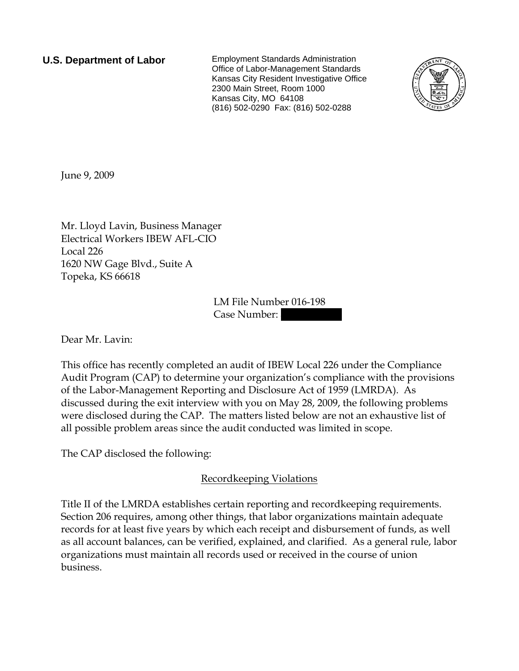**U.S. Department of Labor** Employment Standards Administration Office of Labor-Management Standards Kansas City Resident Investigative Office 2300 Main Street, Room 1000 Kansas City, MO 64108 (816) 502-0290 Fax: (816) 502-0288



June 9, 2009

Mr. Lloyd Lavin, Business Manager Electrical Workers IBEW AFL-CIO Local 226 1620 NW Gage Blvd., Suite A Topeka, KS 66618

> LM File Number 016-198 Case Number:

Dear Mr. Lavin:

This office has recently completed an audit of IBEW Local 226 under the Compliance Audit Program (CAP) to determine your organization's compliance with the provisions of the Labor-Management Reporting and Disclosure Act of 1959 (LMRDA). As discussed during the exit interview with you on May 28, 2009, the following problems were disclosed during the CAP. The matters listed below are not an exhaustive list of all possible problem areas since the audit conducted was limited in scope.

The CAP disclosed the following:

## Recordkeeping Violations

Title II of the LMRDA establishes certain reporting and recordkeeping requirements. Section 206 requires, among other things, that labor organizations maintain adequate records for at least five years by which each receipt and disbursement of funds, as well as all account balances, can be verified, explained, and clarified. As a general rule, labor organizations must maintain all records used or received in the course of union business.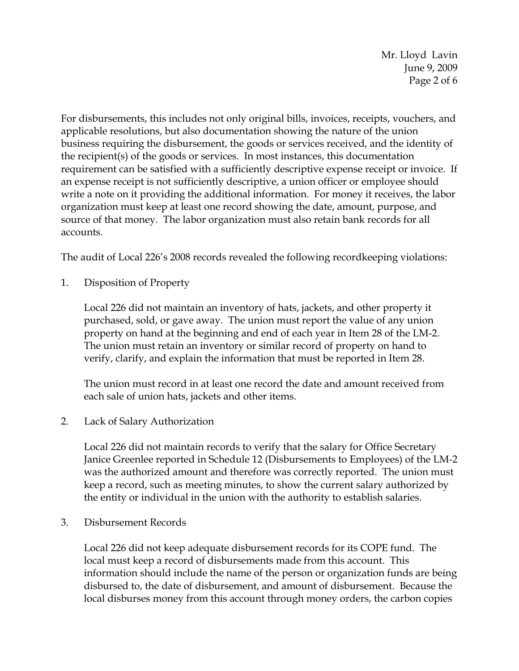Mr. Lloyd Lavin June 9, 2009 Page 2 of 6

For disbursements, this includes not only original bills, invoices, receipts, vouchers, and applicable resolutions, but also documentation showing the nature of the union business requiring the disbursement, the goods or services received, and the identity of the recipient(s) of the goods or services. In most instances, this documentation requirement can be satisfied with a sufficiently descriptive expense receipt or invoice. If an expense receipt is not sufficiently descriptive, a union officer or employee should write a note on it providing the additional information. For money it receives, the labor organization must keep at least one record showing the date, amount, purpose, and source of that money. The labor organization must also retain bank records for all accounts.

The audit of Local 226's 2008 records revealed the following recordkeeping violations:

1. Disposition of Property

Local 226 did not maintain an inventory of hats, jackets, and other property it purchased, sold, or gave away. The union must report the value of any union property on hand at the beginning and end of each year in Item 28 of the LM-2. The union must retain an inventory or similar record of property on hand to verify, clarify, and explain the information that must be reported in Item 28.

The union must record in at least one record the date and amount received from each sale of union hats, jackets and other items.

2. Lack of Salary Authorization

Local 226 did not maintain records to verify that the salary for Office Secretary Janice Greenlee reported in Schedule 12 (Disbursements to Employees) of the LM-2 was the authorized amount and therefore was correctly reported. The union must keep a record, such as meeting minutes, to show the current salary authorized by the entity or individual in the union with the authority to establish salaries.

3. Disbursement Records

Local 226 did not keep adequate disbursement records for its COPE fund. The local must keep a record of disbursements made from this account. This information should include the name of the person or organization funds are being disbursed to, the date of disbursement, and amount of disbursement. Because the local disburses money from this account through money orders, the carbon copies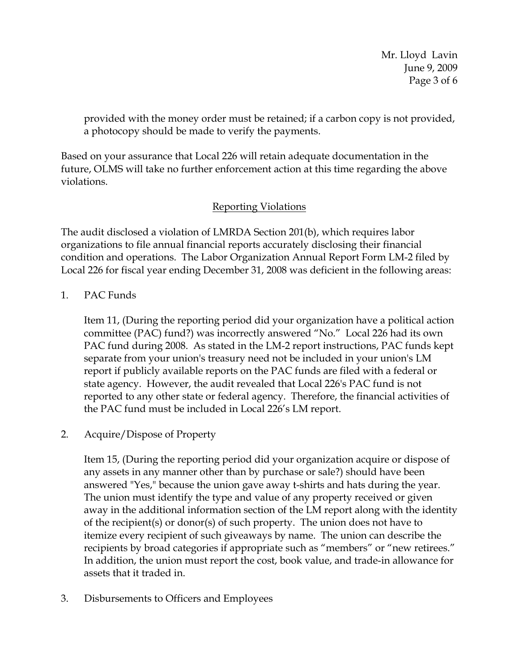Mr. Lloyd Lavin June 9, 2009 Page 3 of 6

provided with the money order must be retained; if a carbon copy is not provided, a photocopy should be made to verify the payments.

Based on your assurance that Local 226 will retain adequate documentation in the future, OLMS will take no further enforcement action at this time regarding the above violations.

# Reporting Violations

The audit disclosed a violation of LMRDA Section 201(b), which requires labor organizations to file annual financial reports accurately disclosing their financial condition and operations. The Labor Organization Annual Report Form LM-2 filed by Local 226 for fiscal year ending December 31, 2008 was deficient in the following areas:

1. PAC Funds

Item 11, (During the reporting period did your organization have a political action committee (PAC) fund?) was incorrectly answered "No." Local 226 had its own PAC fund during 2008. As stated in the LM-2 report instructions, PAC funds kept separate from your union's treasury need not be included in your union's LM report if publicly available reports on the PAC funds are filed with a federal or state agency. However, the audit revealed that Local 226's PAC fund is not reported to any other state or federal agency. Therefore, the financial activities of the PAC fund must be included in Local 226's LM report.

2. Acquire/Dispose of Property

Item 15, (During the reporting period did your organization acquire or dispose of any assets in any manner other than by purchase or sale?) should have been answered "Yes," because the union gave away t-shirts and hats during the year. The union must identify the type and value of any property received or given away in the additional information section of the LM report along with the identity of the recipient(s) or donor(s) of such property. The union does not have to itemize every recipient of such giveaways by name. The union can describe the recipients by broad categories if appropriate such as "members" or "new retirees." In addition, the union must report the cost, book value, and trade-in allowance for assets that it traded in.

3. Disbursements to Officers and Employees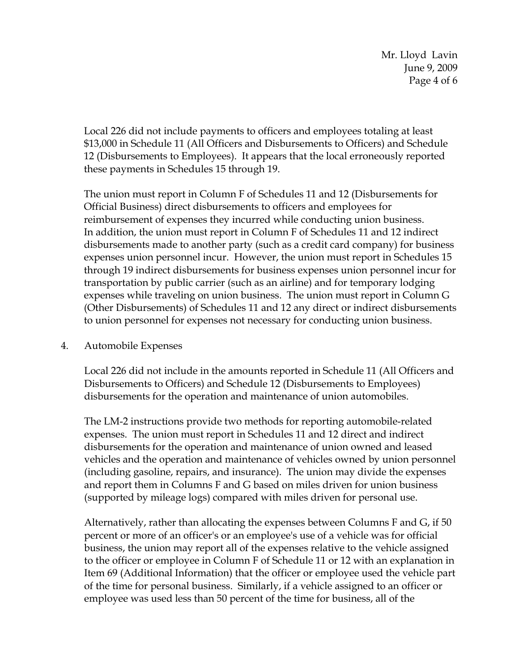Mr. Lloyd Lavin June 9, 2009 Page 4 of 6

Local 226 did not include payments to officers and employees totaling at least \$13,000 in Schedule 11 (All Officers and Disbursements to Officers) and Schedule 12 (Disbursements to Employees). It appears that the local erroneously reported these payments in Schedules 15 through 19.

The union must report in Column F of Schedules 11 and 12 (Disbursements for Official Business) direct disbursements to officers and employees for reimbursement of expenses they incurred while conducting union business. In addition, the union must report in Column F of Schedules 11 and 12 indirect disbursements made to another party (such as a credit card company) for business expenses union personnel incur. However, the union must report in Schedules 15 through 19 indirect disbursements for business expenses union personnel incur for transportation by public carrier (such as an airline) and for temporary lodging expenses while traveling on union business. The union must report in Column G (Other Disbursements) of Schedules 11 and 12 any direct or indirect disbursements to union personnel for expenses not necessary for conducting union business.

#### 4. Automobile Expenses

Local 226 did not include in the amounts reported in Schedule 11 (All Officers and Disbursements to Officers) and Schedule 12 (Disbursements to Employees) disbursements for the operation and maintenance of union automobiles.

The LM-2 instructions provide two methods for reporting automobile-related expenses. The union must report in Schedules 11 and 12 direct and indirect disbursements for the operation and maintenance of union owned and leased vehicles and the operation and maintenance of vehicles owned by union personnel (including gasoline, repairs, and insurance). The union may divide the expenses and report them in Columns F and G based on miles driven for union business (supported by mileage logs) compared with miles driven for personal use.

Alternatively, rather than allocating the expenses between Columns F and G, if 50 percent or more of an officer's or an employee's use of a vehicle was for official business, the union may report all of the expenses relative to the vehicle assigned to the officer or employee in Column F of Schedule 11 or 12 with an explanation in Item 69 (Additional Information) that the officer or employee used the vehicle part of the time for personal business. Similarly, if a vehicle assigned to an officer or employee was used less than 50 percent of the time for business, all of the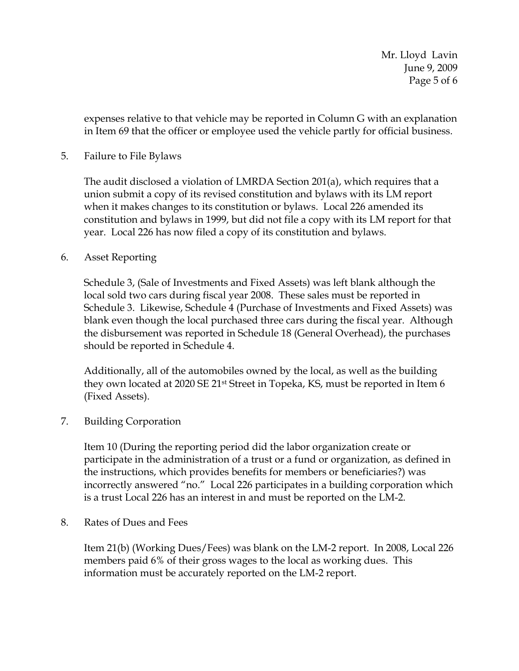Mr. Lloyd Lavin June 9, 2009 Page 5 of 6

expenses relative to that vehicle may be reported in Column G with an explanation in Item 69 that the officer or employee used the vehicle partly for official business.

#### 5. Failure to File Bylaws

The audit disclosed a violation of LMRDA Section 201(a), which requires that a union submit a copy of its revised constitution and bylaws with its LM report when it makes changes to its constitution or bylaws. Local 226 amended its constitution and bylaws in 1999, but did not file a copy with its LM report for that year. Local 226 has now filed a copy of its constitution and bylaws.

#### 6. Asset Reporting

Schedule 3, (Sale of Investments and Fixed Assets) was left blank although the local sold two cars during fiscal year 2008. These sales must be reported in Schedule 3. Likewise, Schedule 4 (Purchase of Investments and Fixed Assets) was blank even though the local purchased three cars during the fiscal year. Although the disbursement was reported in Schedule 18 (General Overhead), the purchases should be reported in Schedule 4.

Additionally, all of the automobiles owned by the local, as well as the building they own located at 2020 SE 21st Street in Topeka, KS, must be reported in Item 6 (Fixed Assets).

#### 7. Building Corporation

Item 10 (During the reporting period did the labor organization create or participate in the administration of a trust or a fund or organization, as defined in the instructions, which provides benefits for members or beneficiaries?) was incorrectly answered "no." Local 226 participates in a building corporation which is a trust Local 226 has an interest in and must be reported on the LM-2.

8. Rates of Dues and Fees

Item 21(b) (Working Dues/Fees) was blank on the LM-2 report. In 2008, Local 226 members paid 6% of their gross wages to the local as working dues. This information must be accurately reported on the LM-2 report.